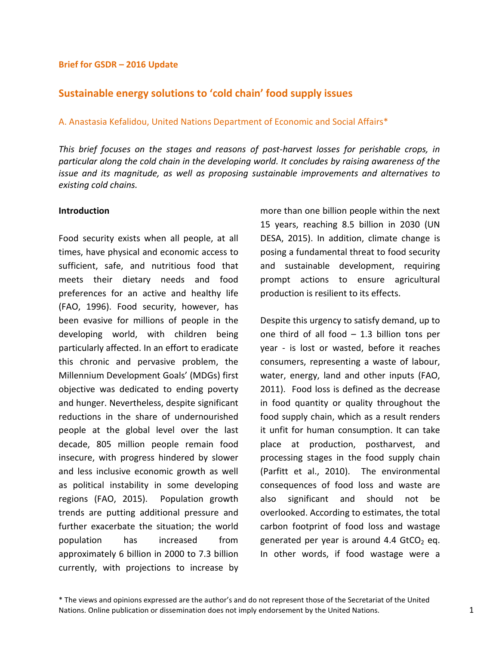#### **Brief for GSDR – 2016 Update**

# **Sustainable energy solutions to 'cold chain' food supply issues**

#### A. Anastasia Kefalidou, United Nations Department of Economic and Social Affairs\*

*This brief focuses on the stages and reasons of post-harvest losses for perishable crops, in particular along the cold chain in the developing world. It concludes by raising awareness of the issue and its magnitude, as well as proposing sustainable improvements and alternatives to existing cold chains.* 

### **Introduction**

Food security exists when all people, at all times, have physical and economic access to sufficient, safe, and nutritious food that meets their dietary needs and food preferences for an active and healthy life (FAO, 1996). Food security, however, has been evasive for millions of people in the developing world, with children being particularly affected. In an effort to eradicate this chronic and pervasive problem, the Millennium Development Goals' (MDGs) first objective was dedicated to ending poverty and hunger. Nevertheless, despite significant reductions in the share of undernourished people at the global level over the last decade, 805 million people remain food insecure, with progress hindered by slower and less inclusive economic growth as well as political instability in some developing regions (FAO, 2015). Population growth trends are putting additional pressure and further exacerbate the situation; the world population has increased from approximately 6 billion in 2000 to 7.3 billion currently, with projections to increase by

more than one billion people within the next 15 years, reaching 8.5 billion in 2030 (UN DESA, 2015). In addition, climate change is posing a fundamental threat to food security and sustainable development, requiring prompt actions to ensure agricultural production is resilient to its effects.

Despite this urgency to satisfy demand, up to one third of all food – 1.3 billion tons per year - is lost or wasted, before it reaches consumers, representing a waste of labour, water, energy, land and other inputs (FAO, 2011). Food loss is defined as the decrease in food quantity or quality throughout the food supply chain, which as a result renders it unfit for human consumption. It can take place at production, postharvest, and processing stages in the food supply chain (Parfitt et al., 2010). The environmental consequences of food loss and waste are also significant and should not be overlooked. According to estimates, the total carbon footprint of food loss and wastage generated per year is around 4.4  $GtCO<sub>2</sub>$  eq. In other words, if food wastage were a

<sup>\*</sup> The views and opinions expressed are the author's and do not represent those of the Secretariat of the United Nations. Online publication or dissemination does not imply endorsement by the United Nations. 1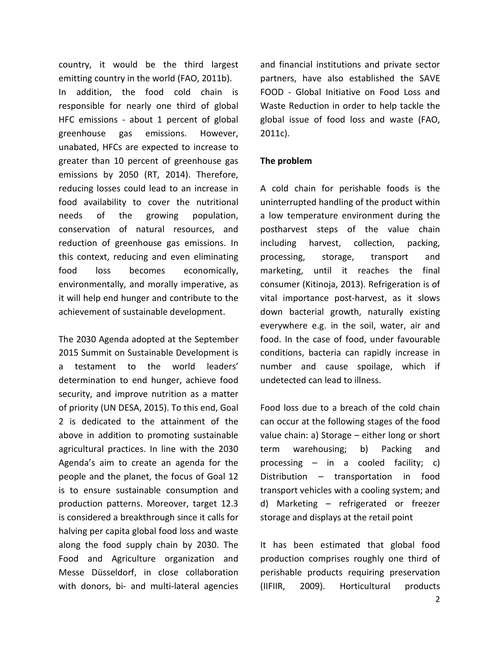country, it would be the third largest emitting country in the world (FAO, 2011b). In addition, the food cold chain is responsible for nearly one third of global HFC emissions - about 1 percent of global greenhouse gas emissions. However, unabated, HFCs are expected to increase to greater than 10 percent of greenhouse gas emissions by 2050 (RT, 2014). Therefore, reducing losses could lead to an increase in food availability to cover the nutritional needs of the growing population, conservation of natural resources, and reduction of greenhouse gas emissions. In this context, reducing and even eliminating food loss becomes economically, environmentally, and morally imperative, as it will help end hunger and contribute to the achievement of sustainable development.

The 2030 Agenda adopted at the September 2015 Summit on Sustainable Development is a testament to the world leaders' determination to end hunger, achieve food security, and improve nutrition as a matter of priority (UN DESA, 2015). To this end, Goal 2 is dedicated to the attainment of the above in addition to promoting sustainable agricultural practices. In line with the 2030 Agenda's aim to create an agenda for the people and the planet, the focus of Goal 12 is to ensure sustainable consumption and production patterns. Moreover, target 12.3 is considered a breakthrough since it calls for halving per capita global food loss and waste along the food supply chain by 2030. The Food and Agriculture organization and Messe Düsseldorf, in close collaboration with donors, bi- and multi-lateral agencies and financial institutions and private sector partners, have also established the SAVE FOOD - Global Initiative on Food Loss and Waste Reduction in order to help tackle the global issue of food loss and waste (FAO, 2011c).

## **The problem**

A cold chain for perishable foods is the uninterrupted handling of the product within a low temperature environment during the postharvest steps of the value chain including harvest, collection, packing, processing, storage, transport and marketing, until it reaches the final consumer (Kitinoja, 2013). Refrigeration is of vital importance post-harvest, as it slows down bacterial growth, naturally existing everywhere e.g. in the soil, water, air and food. In the case of food, under favourable conditions, bacteria can rapidly increase in number and cause spoilage, which if undetected can lead to illness.

Food loss due to a breach of the cold chain can occur at the following stages of the food value chain: a) Storage – either long or short term warehousing; b) Packing and processing – in a cooled facility; c) Distribution – transportation in food transport vehicles with a cooling system; and d) Marketing – refrigerated or freezer storage and displays at the retail point

It has been estimated that global food production comprises roughly one third of perishable products requiring preservation (IIFIIR, 2009). Horticultural products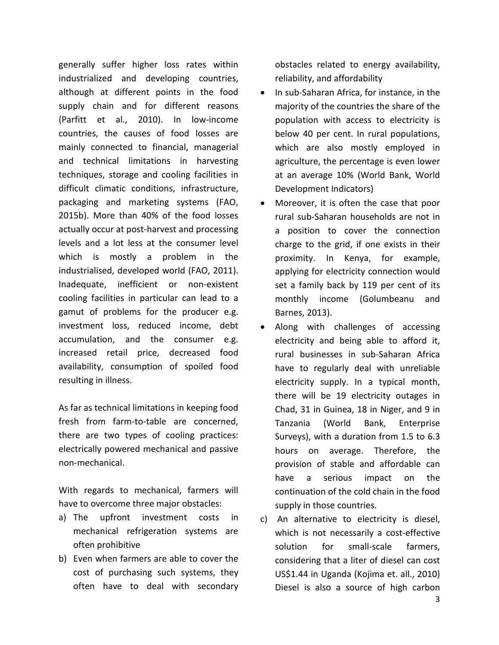generally suffer higher loss rates within industrialized and developing countries, although at different points in the food supply chain and for different reasons (Parfitt et al., 2010). In low-income countries, the causes of food losses are mainly connected to financial, managerial and technical limitations in harvesting techniques, storage and cooling facilities in difficult climatic conditions, infrastructure, packaging and marketing systems (FAO, 2015b). More than 40% of the food losses actually occur at post-harvest and processing levels and a lot less at the consumer level which is mostly a problem in the industrialised, developed world (FAO, 2011). Inadequate, inefficient or non-existent cooling facilities in particular can lead to a gamut of problems for the producer e.g. investment loss, reduced income, debt accumulation, and the consumer e.g. increased retail price, decreased food availability, consumption of spoiled food resulting in illness.

As far as technical limitations in keeping food fresh from farm-to-table are concerned, there are two types of cooling practices: electrically powered mechanical and passive non-mechanical.

With regards to mechanical, farmers will have to overcome three major obstacles:

- a) The upfront investment costs in mechanical refrigeration systems are often prohibitive
- b) Even when farmers are able to cover the cost of purchasing such systems, they often have to deal with secondary

obstacles related to energy availability, reliability, and affordability

- In sub-Saharan Africa, for instance, in the majority of the countries the share of the population with access to electricity is below 40 per cent. In rural populations, which are also mostly employed in agriculture, the percentage is even lower at an average 10% (World Bank, World Development Indicators)
- Moreover, it is often the case that poor rural sub-Saharan households are not in a position to cover the connection charge to the grid, if one exists in their proximity. In Kenya, for example, applying for electricity connection would set a family back by 119 per cent of its monthly income (Golumbeanu and Barnes, 2013).
- Along with challenges of accessing electricity and being able to afford it, rural businesses in sub-Saharan Africa have to regularly deal with unreliable electricity supply. In a typical month, there will be 19 electricity outages in Chad, 31 in Guinea, 18 in Niger, and 9 in Tanzania (World Bank, Enterprise Surveys), with a duration from 1.5 to 6.3 hours on average. Therefore, the provision of stable and affordable can have a serious impact on the continuation of the cold chain in the food supply in those countries.
- c) An alternative to electricity is diesel, which is not necessarily a cost-effective solution for small-scale farmers, considering that a liter of diesel can cost US\$1.44 in Uganda (Kojima et. all., 2010) Diesel is also a source of high carbon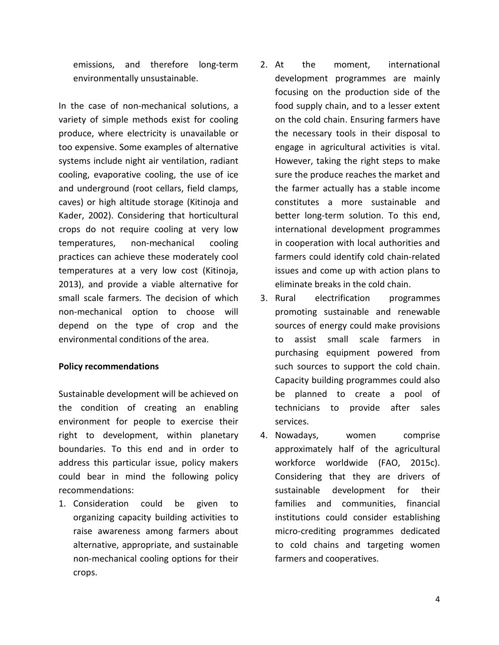emissions, and therefore long-term environmentally unsustainable.

In the case of non-mechanical solutions, a variety of simple methods exist for cooling produce, where electricity is unavailable or too expensive. Some examples of alternative systems include night air ventilation, radiant cooling, evaporative cooling, the use of ice and underground (root cellars, field clamps, caves) or high altitude storage (Kitinoja and Kader, 2002). Considering that horticultural crops do not require cooling at very low temperatures, non-mechanical cooling practices can achieve these moderately cool temperatures at a very low cost (Kitinoja, 2013), and provide a viable alternative for small scale farmers. The decision of which non-mechanical option to choose will depend on the type of crop and the environmental conditions of the area.

### **Policy recommendations**

Sustainable development will be achieved on the condition of creating an enabling environment for people to exercise their right to development, within planetary boundaries. To this end and in order to address this particular issue, policy makers could bear in mind the following policy recommendations:

1. Consideration could be given to organizing capacity building activities to raise awareness among farmers about alternative, appropriate, and sustainable non-mechanical cooling options for their crops.

- 2. At the moment, international development programmes are mainly focusing on the production side of the food supply chain, and to a lesser extent on the cold chain. Ensuring farmers have the necessary tools in their disposal to engage in agricultural activities is vital. However, taking the right steps to make sure the produce reaches the market and the farmer actually has a stable income constitutes a more sustainable and better long-term solution. To this end, international development programmes in cooperation with local authorities and farmers could identify cold chain-related issues and come up with action plans to eliminate breaks in the cold chain.
- 3. Rural electrification programmes promoting sustainable and renewable sources of energy could make provisions to assist small scale farmers in purchasing equipment powered from such sources to support the cold chain. Capacity building programmes could also be planned to create a pool of technicians to provide after sales services.
- 4. Nowadays, women comprise approximately half of the agricultural workforce worldwide (FAO, 2015c). Considering that they are drivers of sustainable development for their families and communities, financial institutions could consider establishing micro-crediting programmes dedicated to cold chains and targeting women farmers and cooperatives.